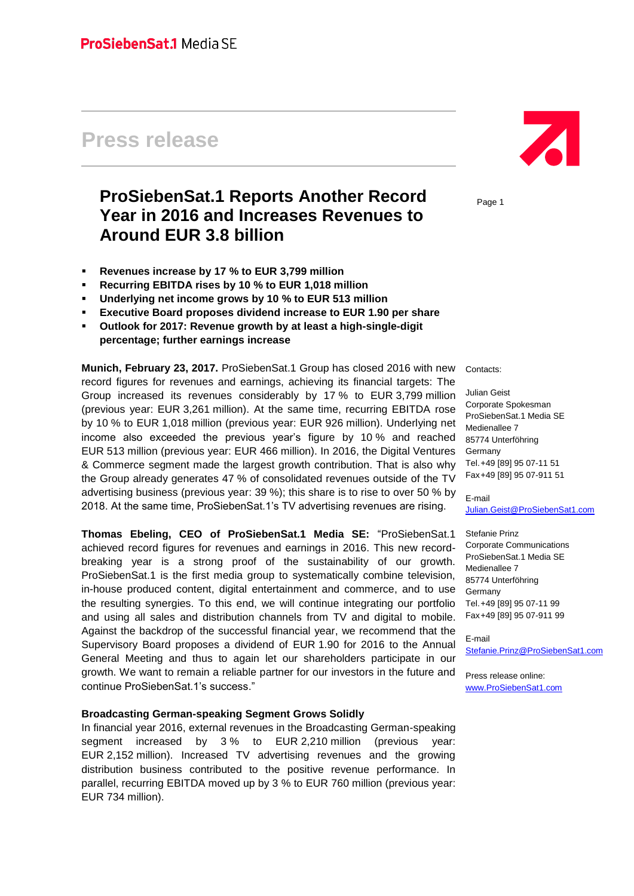# **Press release**

# **ProSiebenSat.1 Reports Another Record Year in 2016 and Increases Revenues to Around EUR 3.8 billion**

- **Revenues increase by 17 % to EUR 3,799 million**
- **Recurring EBITDA rises by 10 % to EUR 1,018 million**
- **Underlying net income grows by 10 % to EUR 513 million**
- **Executive Board proposes dividend increase to EUR 1.90 per share**
- **Outlook for 2017: Revenue growth by at least a high-single-digit percentage; further earnings increase**

**Munich, February 23, 2017.** ProSiebenSat.1 Group has closed 2016 with new record figures for revenues and earnings, achieving its financial targets: The Group increased its revenues considerably by 17 % to EUR 3,799 million (previous year: EUR 3,261 million). At the same time, recurring EBITDA rose by 10 % to EUR 1,018 million (previous year: EUR 926 million). Underlying net income also exceeded the previous year's figure by 10 % and reached EUR 513 million (previous year: EUR 466 million). In 2016, the Digital Ventures & Commerce segment made the largest growth contribution. That is also why the Group already generates 47 % of consolidated revenues outside of the TV advertising business (previous year: 39 %); this share is to rise to over 50 % by 2018. At the same time, ProSiebenSat.1's TV advertising revenues are rising.

**Thomas Ebeling, CEO of ProSiebenSat.1 Media SE:** "ProSiebenSat.1 achieved record figures for revenues and earnings in 2016. This new recordbreaking year is a strong proof of the sustainability of our growth. ProSiebenSat.1 is the first media group to systematically combine television, in-house produced content, digital entertainment and commerce, and to use the resulting synergies. To this end, we will continue integrating our portfolio and using all sales and distribution channels from TV and digital to mobile. Against the backdrop of the successful financial year, we recommend that the Supervisory Board proposes a dividend of EUR 1.90 for 2016 to the Annual General Meeting and thus to again let our shareholders participate in our growth. We want to remain a reliable partner for our investors in the future and continue ProSiebenSat.1's success."

#### **Broadcasting German-speaking Segment Grows Solidly**

In financial year 2016, external revenues in the Broadcasting German-speaking segment increased by 3% to EUR 2,210 million (previous year: EUR 2,152 million). Increased TV advertising revenues and the growing distribution business contributed to the positive revenue performance. In parallel, recurring EBITDA moved up by 3 % to EUR 760 million (previous year: EUR 734 million).



Page 1

Contacts:

Julian Geist Corporate Spokesman ProSiebenSat.1 Media SE Medienallee 7 85774 Unterföhring Germany Tel.+49 [89] 95 07-11 51 Fax+49 [89] 95 07-911 51

E-mail [Julian.Geist@ProSiebenSat1.com](mailto:Julian.Geist@prosiebensat1.com)

Stefanie Prinz Corporate Communications ProSiebenSat.1 Media SE Medienallee 7 85774 Unterföhring Germany Tel.+49 [89] 95 07-11 99 Fax+49 [89] 95 07-911 99

E-mail [Stefanie.Prinz@ProSiebenSat1.com](mailto:Stefanie.Prinz@prosiebensat1.com)

Press release online: [www.ProSiebenSat1.com](http://www.prosiebensat1.com/)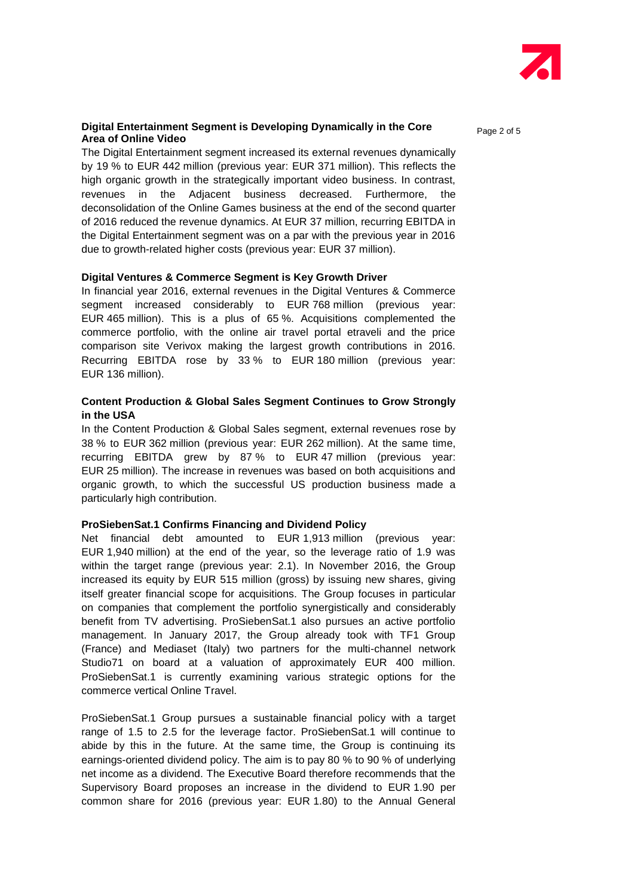

#### **Digital Entertainment Segment is Developing Dynamically in the Core Area of Online Video**

The Digital Entertainment segment increased its external revenues dynamically by 19 % to EUR 442 million (previous year: EUR 371 million). This reflects the high organic growth in the strategically important video business. In contrast, revenues in the Adjacent business decreased. Furthermore, the deconsolidation of the Online Games business at the end of the second quarter of 2016 reduced the revenue dynamics. At EUR 37 million, recurring EBITDA in the Digital Entertainment segment was on a par with the previous year in 2016 due to growth-related higher costs (previous year: EUR 37 million).

#### **Digital Ventures & Commerce Segment is Key Growth Driver**

In financial year 2016, external revenues in the Digital Ventures & Commerce segment increased considerably to EUR 768 million (previous year: EUR 465 million). This is a plus of 65 %. Acquisitions complemented the commerce portfolio, with the online air travel portal etraveli and the price comparison site Verivox making the largest growth contributions in 2016. Recurring EBITDA rose by 33 % to EUR 180 million (previous year: EUR 136 million).

### **Content Production & Global Sales Segment Continues to Grow Strongly in the USA**

In the Content Production & Global Sales segment, external revenues rose by 38 % to EUR 362 million (previous year: EUR 262 million). At the same time, recurring EBITDA grew by 87 % to EUR 47 million (previous year: EUR 25 million). The increase in revenues was based on both acquisitions and organic growth, to which the successful US production business made a particularly high contribution.

#### **ProSiebenSat.1 Confirms Financing and Dividend Policy**

Net financial debt amounted to EUR 1,913 million (previous year: EUR 1,940 million) at the end of the year, so the leverage ratio of 1.9 was within the target range (previous year: 2.1). In November 2016, the Group increased its equity by EUR 515 million (gross) by issuing new shares, giving itself greater financial scope for acquisitions. The Group focuses in particular on companies that complement the portfolio synergistically and considerably benefit from TV advertising. ProSiebenSat.1 also pursues an active portfolio management. In January 2017, the Group already took with TF1 Group (France) and Mediaset (Italy) two partners for the multi-channel network Studio71 on board at a valuation of approximately EUR 400 million. ProSiebenSat.1 is currently examining various strategic options for the commerce vertical Online Travel.

ProSiebenSat.1 Group pursues a sustainable financial policy with a target range of 1.5 to 2.5 for the leverage factor. ProSiebenSat.1 will continue to abide by this in the future. At the same time, the Group is continuing its earnings-oriented dividend policy. The aim is to pay 80 % to 90 % of underlying net income as a dividend. The Executive Board therefore recommends that the Supervisory Board proposes an increase in the dividend to EUR 1.90 per common share for 2016 (previous year: EUR 1.80) to the Annual General Page 2 of 5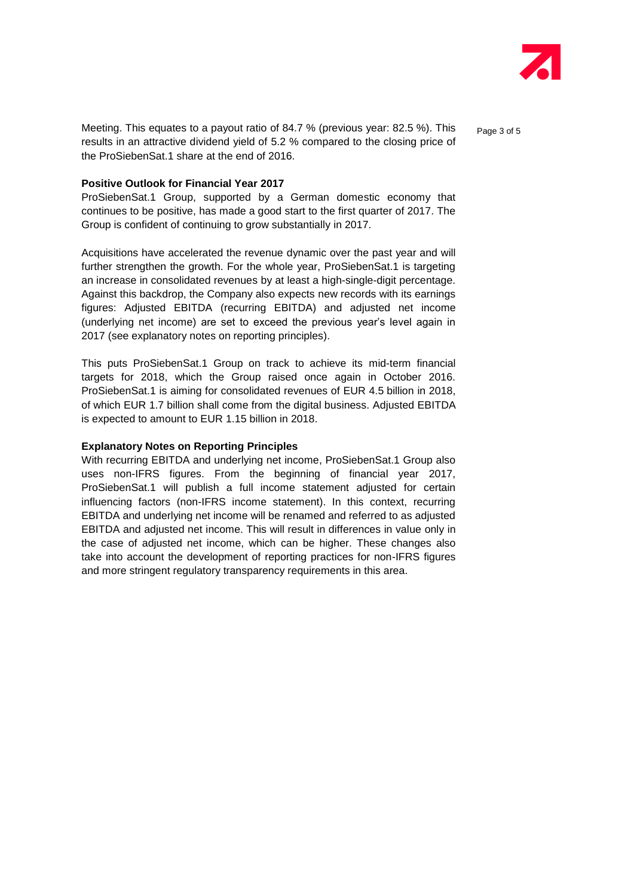

Meeting. This equates to a payout ratio of 84.7 % (previous year: 82.5 %). This entingleriant 5 results in an attractive dividend yield of 5.2 % compared to the closing price of the ProSiebenSat.1 share at the end of 2016.

#### **Positive Outlook for Financial Year 2017**

ProSiebenSat.1 Group, supported by a German domestic economy that continues to be positive, has made a good start to the first quarter of 2017. The Group is confident of continuing to grow substantially in 2017.

Acquisitions have accelerated the revenue dynamic over the past year and will further strengthen the growth. For the whole year, ProSiebenSat.1 is targeting an increase in consolidated revenues by at least a high-single-digit percentage. Against this backdrop, the Company also expects new records with its earnings figures: Adjusted EBITDA (recurring EBITDA) and adjusted net income (underlying net income) are set to exceed the previous year's level again in 2017 (see explanatory notes on reporting principles).

This puts ProSiebenSat.1 Group on track to achieve its mid-term financial targets for 2018, which the Group raised once again in October 2016. ProSiebenSat.1 is aiming for consolidated revenues of EUR 4.5 billion in 2018, of which EUR 1.7 billion shall come from the digital business. Adjusted EBITDA is expected to amount to EUR 1.15 billion in 2018.

#### **Explanatory Notes on Reporting Principles**

With recurring EBITDA and underlying net income, ProSiebenSat.1 Group also uses non-IFRS figures. From the beginning of financial year 2017, ProSiebenSat.1 will publish a full income statement adjusted for certain influencing factors (non-IFRS income statement). In this context, recurring EBITDA and underlying net income will be renamed and referred to as adjusted EBITDA and adjusted net income. This will result in differences in value only in the case of adjusted net income, which can be higher. These changes also take into account the development of reporting practices for non-IFRS figures and more stringent regulatory transparency requirements in this area.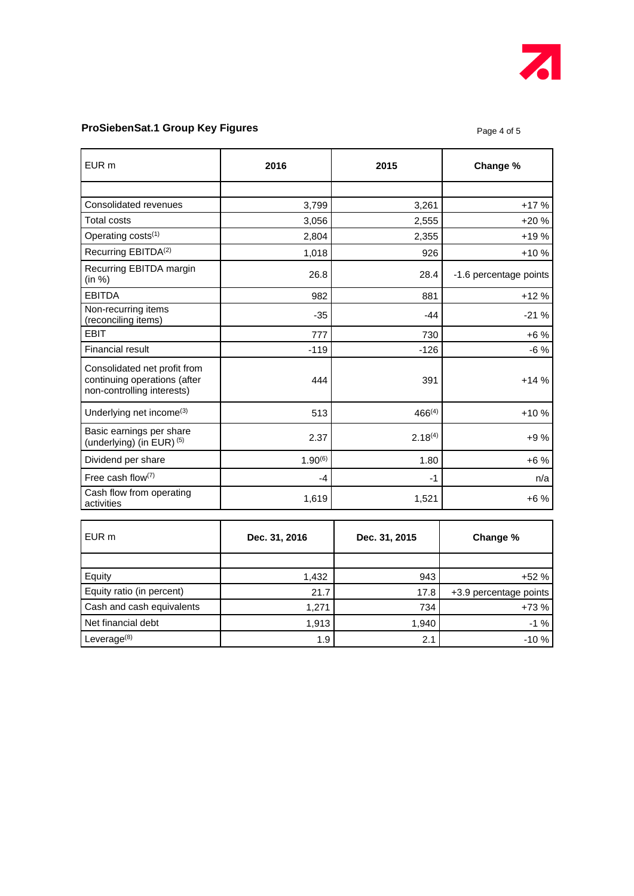

## **ProSiebenSat.1 Group Key Figures ProSiebenSat.1 Group Key Figures Page 4 of 5**

| EUR <sub>m</sub>                                                                           | 2016          | 2015          | Change %               |
|--------------------------------------------------------------------------------------------|---------------|---------------|------------------------|
|                                                                                            |               |               |                        |
| Consolidated revenues                                                                      | 3,799         | 3,261         | $+17%$                 |
| Total costs                                                                                | 3,056         | 2,555         | $+20%$                 |
| Operating costs <sup>(1)</sup>                                                             | 2,804         | 2,355         | +19 %                  |
| Recurring EBITDA <sup>(2)</sup>                                                            | 1,018         | 926           | $+10%$                 |
| Recurring EBITDA margin<br>(in %)                                                          | 26.8          | 28.4          | -1.6 percentage points |
| <b>EBITDA</b>                                                                              | 982           | 881           | $+12%$                 |
| Non-recurring items<br>(reconciling items)                                                 | $-35$         | $-44$         | $-21%$                 |
| <b>EBIT</b>                                                                                | 777           | 730           | $+6%$                  |
| <b>Financial result</b>                                                                    | $-119$        | $-126$        | $-6%$                  |
| Consolidated net profit from<br>continuing operations (after<br>non-controlling interests) | 444           | 391           | $+14%$                 |
| Underlying net income <sup>(3)</sup>                                                       | 513           | $466^{(4)}$   | $+10%$                 |
| Basic earnings per share<br>(underlying) (in EUR) (5)                                      | 2.37          | $2.18^{(4)}$  | +9 %                   |
| Dividend per share                                                                         | $1.90^{(6)}$  | 1.80          | $+6%$                  |
| Free cash flow(7)                                                                          | $-4$          | $-1$          | n/a                    |
| Cash flow from operating<br>activities                                                     | 1,619         | 1,521         | $+6%$                  |
| EUR <sub>m</sub>                                                                           | Dec. 31, 2016 | Dec. 31, 2015 | Change %               |
|                                                                                            |               |               |                        |
| Equity                                                                                     | 1,432         | 943           | $+52%$                 |
| Equity ratio (in percent)                                                                  | 21.7          | 17.8          | +3.9 percentage points |
| Cash and cash equivalents                                                                  | 1,271         | 734           | $+73%$                 |
| Net financial debt                                                                         | 1,913         | 1,940         | $-1%$                  |
| Leverage <sup>(8)</sup>                                                                    | 1.9           | 2.1           | $-10%$                 |